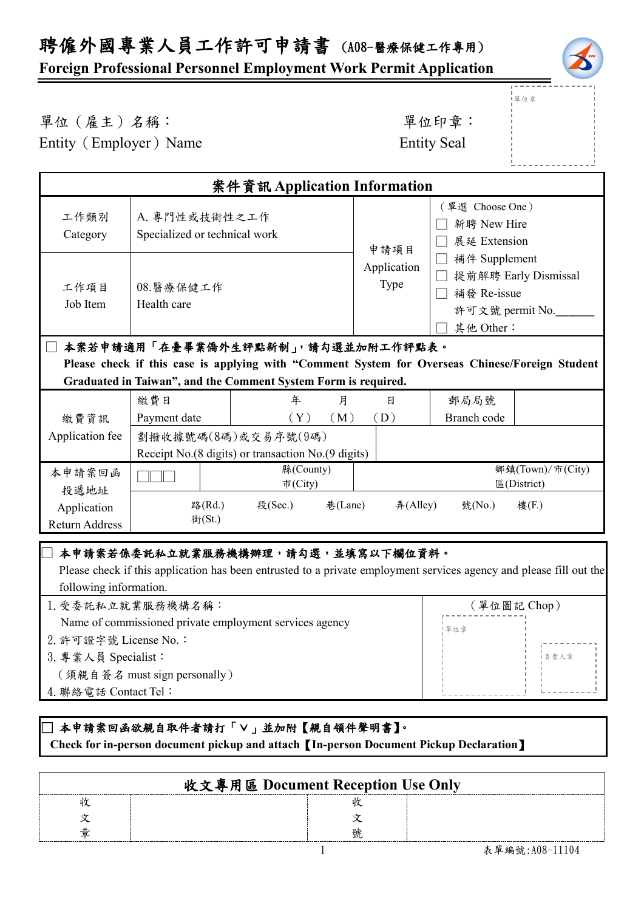# 聘僱外國專業人員工作許可申請書 (A08-醫療保健工作專用)

### **Foreign Professional Personnel Employment Work Permit Application**

單位章

# 單位(雇主)名稱: 第四章: 李位印章: 第一

Entity (Employer) Name Entity Seal

| 案件資訊 Application Information                                                                                                                                      |                                                                           |                                        |                            |                                                                                                                                        |                                 |
|-------------------------------------------------------------------------------------------------------------------------------------------------------------------|---------------------------------------------------------------------------|----------------------------------------|----------------------------|----------------------------------------------------------------------------------------------------------------------------------------|---------------------------------|
| 工作類別<br>Category                                                                                                                                                  | A. 專門性或技術性之工作<br>Specialized or technical work                            |                                        | 申請項目                       | (單選 Choose One)<br>新聘 New Hire<br>展延 Extension<br>補件 Supplement<br>提前解聘 Early Dismissal<br>補發 Re-issue<br>許可文號 permit No.<br>其他 Other: |                                 |
| 工作項目<br>Job Item                                                                                                                                                  | 08.醫療保健工作<br>Health care                                                  |                                        | Application<br><b>Type</b> |                                                                                                                                        |                                 |
| 本案若申請適用「在臺畢業僑外生評點新制」,請勾選並加附工作評點表。                                                                                                                                 |                                                                           |                                        |                            |                                                                                                                                        |                                 |
| Please check if this case is applying with "Comment System for Overseas Chinese/Foreign Student<br>Graduated in Taiwan", and the Comment System Form is required. |                                                                           |                                        |                            |                                                                                                                                        |                                 |
|                                                                                                                                                                   |                                                                           |                                        |                            |                                                                                                                                        |                                 |
|                                                                                                                                                                   | 繳費日                                                                       | 年                                      | 月<br>日                     | 郵局局號                                                                                                                                   |                                 |
| 繳費資訊                                                                                                                                                              | Payment date                                                              | (Y)                                    | (M)<br>(D)                 | Branch code                                                                                                                            |                                 |
| Application fee                                                                                                                                                   | 劃撥收據號碼(8碼)或交易序號(9碼)<br>Receipt No.(8 digits) or transaction No.(9 digits) |                                        |                            |                                                                                                                                        |                                 |
| 本申請案回函<br>投遞地址                                                                                                                                                    |                                                                           | 縣(County)<br>市(City)                   |                            |                                                                                                                                        | 鄉鎮(Town)/市(City)<br>區(District) |
| Application<br><b>Return Address</b>                                                                                                                              |                                                                           | 巷(Lane)<br>路(Rd.)<br>段(Sec.)<br>街(St.) |                            | $#($ Alley $)$<br>號(No.)                                                                                                               | 樓(F.)                           |
| 本申請案若係委託私立就業服務機構辦理,請勾選,並填寫以下欄位資料。                                                                                                                                 |                                                                           |                                        |                            |                                                                                                                                        |                                 |
|                                                                                                                                                                   |                                                                           |                                        |                            |                                                                                                                                        |                                 |

#### Please check if this application has been entrusted to a private employment services agency and please fill out the following information.

| 1. 受委託私立就業服務機構名稱:                                       | (單位圖記 Chop) |  |
|---------------------------------------------------------|-------------|--|
| Name of commissioned private employment services agency | 單位章         |  |
| 2. 許可證字號 License No.:                                   |             |  |
| 3. 專業人員 Specialist:                                     | i負青人章       |  |
| 〔須親自簽名 must sign personally 〕                           |             |  |
| 4. 聯絡電話 Contact Tel:                                    |             |  |
|                                                         |             |  |

### □本申請案回函欲親自取件者請打「∨」並加附【親自領件聲明書】。  **Check for in-person document pickup and attach**【**In-person Document Pickup Declaration**】

| 收文專用區 Document Reception Use Only |  |
|-----------------------------------|--|
|                                   |  |
|                                   |  |
|                                   |  |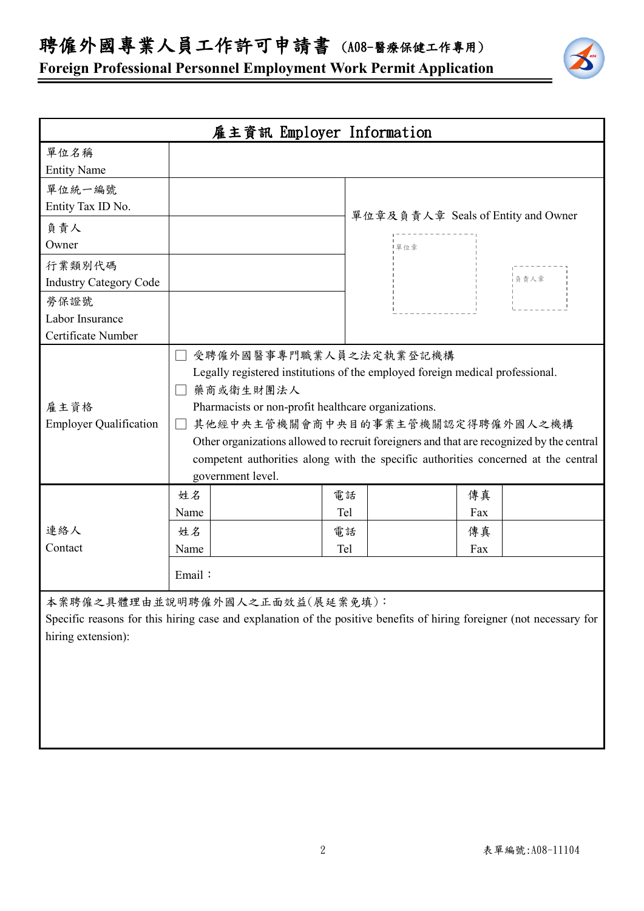聘僱外國專業人員工作許可申請書 (A08-醫療保健工作專用)

**Foreign Professional Personnel Employment Work Permit Application**



| 雇主資訊 Employer Information             |              |                                                                                                                                                                                                                                                                                                                                                                                                                        |     |                                    |            |
|---------------------------------------|--------------|------------------------------------------------------------------------------------------------------------------------------------------------------------------------------------------------------------------------------------------------------------------------------------------------------------------------------------------------------------------------------------------------------------------------|-----|------------------------------------|------------|
| 單位名稱                                  |              |                                                                                                                                                                                                                                                                                                                                                                                                                        |     |                                    |            |
| <b>Entity Name</b>                    |              |                                                                                                                                                                                                                                                                                                                                                                                                                        |     |                                    |            |
| 單位統一編號                                |              |                                                                                                                                                                                                                                                                                                                                                                                                                        |     |                                    |            |
| Entity Tax ID No.                     |              |                                                                                                                                                                                                                                                                                                                                                                                                                        |     |                                    |            |
| 負責人                                   |              |                                                                                                                                                                                                                                                                                                                                                                                                                        |     | 單位章及負責人章 Seals of Entity and Owner |            |
| Owner                                 |              |                                                                                                                                                                                                                                                                                                                                                                                                                        | 單位章 |                                    |            |
| 行業類別代碼                                |              |                                                                                                                                                                                                                                                                                                                                                                                                                        |     |                                    |            |
| <b>Industry Category Code</b>         |              |                                                                                                                                                                                                                                                                                                                                                                                                                        |     |                                    | -<br>1负责人章 |
| 勞保證號                                  |              |                                                                                                                                                                                                                                                                                                                                                                                                                        |     |                                    |            |
| Labor Insurance                       |              |                                                                                                                                                                                                                                                                                                                                                                                                                        |     |                                    |            |
| Certificate Number                    |              |                                                                                                                                                                                                                                                                                                                                                                                                                        |     |                                    |            |
| 雇主資格<br><b>Employer Qualification</b> | $\Box$<br>姓名 | 受聘僱外國醫事專門職業人員之法定執業登記機構<br>Legally registered institutions of the employed foreign medical professional.<br>藥商或衛生財團法人<br>Pharmacists or non-profit healthcare organizations.<br>其他經中央主管機關會商中央目的事業主管機關認定得聘僱外國人之機構<br>Other organizations allowed to recruit foreigners and that are recognized by the central<br>competent authorities along with the specific authorities concerned at the central<br>government level. | 電話  | 傳真                                 |            |
|                                       | Name         |                                                                                                                                                                                                                                                                                                                                                                                                                        | Tel | Fax                                |            |
| 連絡人                                   | 姓名           |                                                                                                                                                                                                                                                                                                                                                                                                                        | 電話  | 傳真                                 |            |
| Contact                               | Name         |                                                                                                                                                                                                                                                                                                                                                                                                                        | Tel | Fax                                |            |
|                                       | Email:       |                                                                                                                                                                                                                                                                                                                                                                                                                        |     |                                    |            |
|                                       |              | 本案聘僱之具體理由並說明聘僱外國人之正面效益(展延案免填):                                                                                                                                                                                                                                                                                                                                                                                         |     |                                    |            |
|                                       |              | Specific reasons for this hiring case and explanation of the positive benefits of hiring foreigner (not necessary for                                                                                                                                                                                                                                                                                                  |     |                                    |            |
| hiring extension):                    |              |                                                                                                                                                                                                                                                                                                                                                                                                                        |     |                                    |            |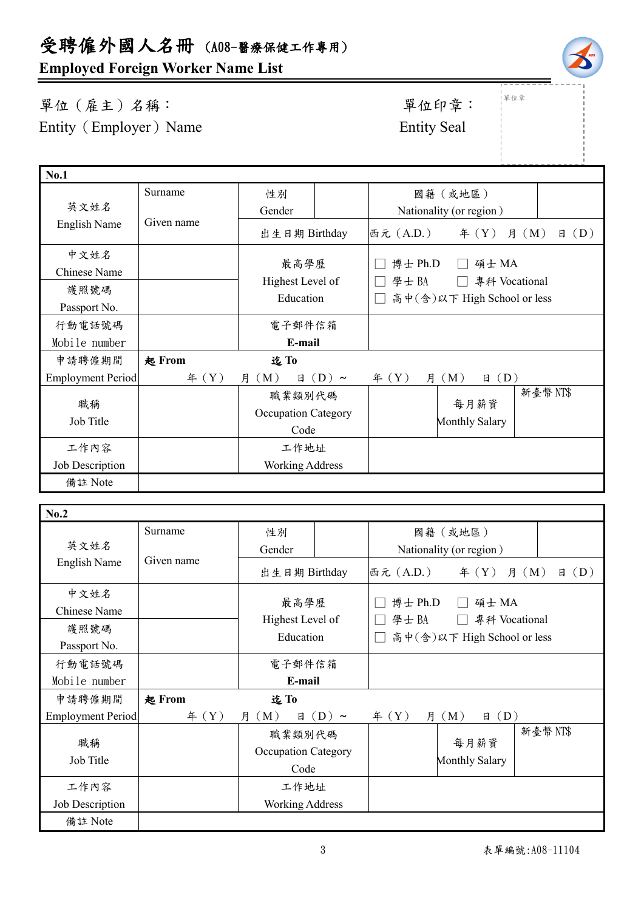# **Employed Foreign Worker Name List**

Surname

Given name

### 單位(雇主)名稱: 第六章: 李位印章: 第一 Entity (Employer) Name Entity Seal

**No.1**

└<br>──

英文姓名 English Name

中文姓名 Chinese Name

護照號碼 Passport No.

| 行動電話號碼                   |               | 電子郵件信箱                                |              |                               |         |
|--------------------------|---------------|---------------------------------------|--------------|-------------------------------|---------|
| Mobile number            |               | E-mail                                |              |                               |         |
| 申請聘僱期間                   | <b>起 From</b> | 迄To                                   |              |                               |         |
| <b>Employment Period</b> | # (Y)         | (M)<br>月<br>(D)<br>日<br>$\sim$        | 年 $(Y)$<br>月 | (D)<br>(M)<br>日               |         |
| 職稱<br>Job Title          |               | 職業類別代碼<br>Occupation Category<br>Code |              | 每月薪資<br><b>Monthly Salary</b> | 新臺幣NT\$ |
| 工作內容                     |               | 工作地址                                  |              |                               |         |
| Job Description          |               | <b>Working Address</b>                |              |                               |         |
| 備註 Note                  |               |                                       |              |                               |         |

性別 Gender

最高學歷 Highest Level of Education

| No.2                     |               |                                              |            |                             |                         |                   |
|--------------------------|---------------|----------------------------------------------|------------|-----------------------------|-------------------------|-------------------|
|                          | Surname       | 性別                                           |            |                             | 國籍(或地區)                 |                   |
| 英文姓名                     |               | Gender                                       |            |                             | Nationality (or region) |                   |
| English Name             | Given name    | 出生日期 Birthday                                |            | 西元 (A.D.)                   | $\text{4}(Y)$           | (D)<br>月 (M)<br>日 |
| 中文姓名<br>Chinese Name     |               | 最高學歷                                         |            | 博士 Ph.D                     | 碩士 MA                   |                   |
| 護照號碼                     |               | Highest Level of                             |            | 學士BA                        | 專科 Vocational           |                   |
| Passport No.             |               | Education                                    |            | 高中(含)以下 High School or less |                         |                   |
| 行動電話號碼                   |               | 電子郵件信箱                                       |            |                             |                         |                   |
| Mobile number            |               | E-mail                                       |            |                             |                         |                   |
| 申請聘僱期間                   | <b>起 From</b> | 迄To                                          |            |                             |                         |                   |
| <b>Employment Period</b> | # (Y)         | 月 (M)<br>日                                   | $(D) \sim$ | 年 $(Y)$                     | 月 (M)<br>(D)<br>日       |                   |
| 職稱<br>Job Title          |               | 職業類別代碼<br><b>Occupation Category</b><br>Code |            |                             | 每月薪資<br>Monthly Salary  | 新臺幣NT\$           |
| 工作內容                     |               | 工作地址                                         |            |                             |                         |                   |
| Job Description          |               | <b>Working Address</b>                       |            |                             |                         |                   |
| 備註 Note                  |               |                                              |            |                             |                         |                   |
|                          |               |                                              |            |                             |                         |                   |

|單位章

國籍(或地區) Nationality (or region)

□ 博士 Ph.D □ 碩士 MA

□ 學士 BA □ 專科 Vocational □ 高中(含)以下 High School or less

出生日期 Birthday 西元(A.D.)年(Y) 月(M) 日(D)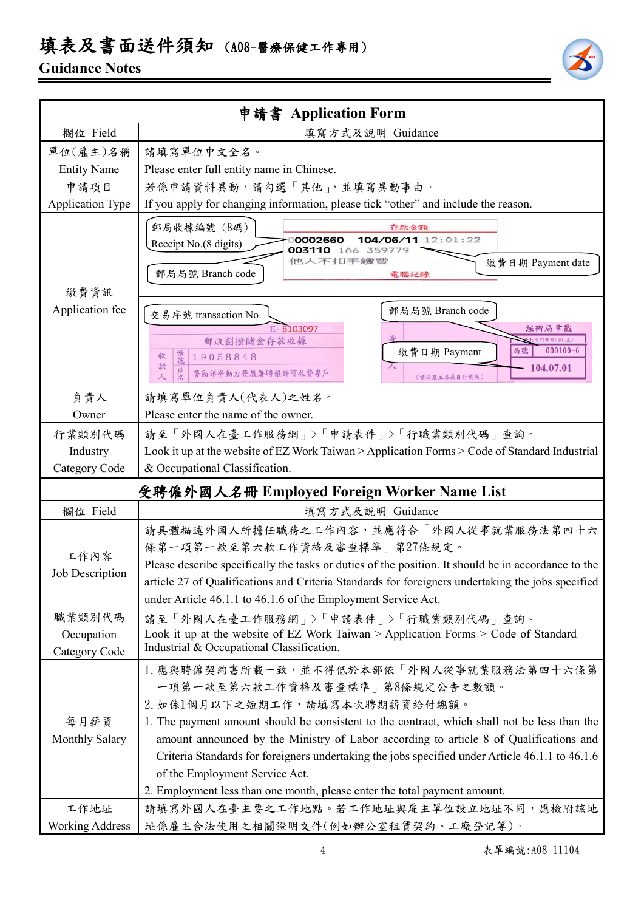# 填表及書面送件須知 (A08-醫療保健工作專用)

## **Guidance Notes**



|                                       | 申請書 Application Form                                                                                                                                                                                                                                                                                                                                                                                                                                                                                                       |  |  |  |
|---------------------------------------|----------------------------------------------------------------------------------------------------------------------------------------------------------------------------------------------------------------------------------------------------------------------------------------------------------------------------------------------------------------------------------------------------------------------------------------------------------------------------------------------------------------------------|--|--|--|
| 欄位 Field                              | 填寫方式及說明 Guidance                                                                                                                                                                                                                                                                                                                                                                                                                                                                                                           |  |  |  |
| 單位(雇主)名稱                              | 請填寫單位中文全名。                                                                                                                                                                                                                                                                                                                                                                                                                                                                                                                 |  |  |  |
| <b>Entity Name</b>                    | Please enter full entity name in Chinese.                                                                                                                                                                                                                                                                                                                                                                                                                                                                                  |  |  |  |
| 申請項目                                  | 若係申請資料異動,請勾選「其他」,並填寫異動事由。                                                                                                                                                                                                                                                                                                                                                                                                                                                                                                  |  |  |  |
| <b>Application Type</b>               | If you apply for changing information, please tick "other" and include the reason.                                                                                                                                                                                                                                                                                                                                                                                                                                         |  |  |  |
| 繳費資訊                                  | 郵局收據編號 (8碼)<br>存款金額<br>104/06/11 12:01:22<br>0002660<br>Receipt No.(8 digits)<br>003110 1A6 359779<br>他人不扣手續變<br>繳費日期 Payment date<br>郵局局號 Branch code<br>電腦記錄                                                                                                                                                                                                                                                                                                                                                             |  |  |  |
| Application fee                       | 郵局局號 Branch code<br>交易序號 transaction No.<br>經辦局章戳<br>E-8103097<br>門郵局(901支)<br>郵政劃撥儲金存款收據<br>$000100 - 6$<br>繳費日期 Payment<br>局號<br>帳號<br>19058848<br>收<br>款<br>104.07.01<br>勞動部勞動力發展署聘僱許可收費專戶<br>人<br>(請以雇主名義自行填寫)                                                                                                                                                                                                                                                                                                         |  |  |  |
| 負責人                                   | 請填寫單位負責人(代表人)之姓名。                                                                                                                                                                                                                                                                                                                                                                                                                                                                                                          |  |  |  |
| Owner                                 | Please enter the name of the owner.                                                                                                                                                                                                                                                                                                                                                                                                                                                                                        |  |  |  |
| 行業類別代碼                                | 請至「外國人在臺工作服務網」>「申請表件」>「行職業類別代碼」查詢。                                                                                                                                                                                                                                                                                                                                                                                                                                                                                         |  |  |  |
| Industry                              | Look it up at the website of EZ Work Taiwan > Application Forms > Code of Standard Industrial                                                                                                                                                                                                                                                                                                                                                                                                                              |  |  |  |
| Category Code                         | & Occupational Classification.                                                                                                                                                                                                                                                                                                                                                                                                                                                                                             |  |  |  |
|                                       | 受聘僱外國人名冊 Employed Foreign Worker Name List                                                                                                                                                                                                                                                                                                                                                                                                                                                                                 |  |  |  |
| 欄位 Field                              | 填寫方式及說明 Guidance                                                                                                                                                                                                                                                                                                                                                                                                                                                                                                           |  |  |  |
| 工作內容<br>Job Description               | 請具體描述外國人所擔任職務之工作內容,並應符合「外國人從事就業服務法第四十六<br>條第一項第一款至第六款工作資格及審查標準   第27條規定。<br>Please describe specifically the tasks or duties of the position. It should be in accordance to the<br>article 27 of Qualifications and Criteria Standards for foreigners undertaking the jobs specified<br>under Article 46.1.1 to 46.1.6 of the Employment Service Act.                                                                                                                                                                      |  |  |  |
| 職業類別代碼<br>Occupation<br>Category Code | 請至「外國人在臺工作服務網」>「申請表件」>「行職業類別代碼」查詢。<br>Look it up at the website of EZ Work Taiwan > Application Forms > Code of Standard<br>Industrial & Occupational Classification.                                                                                                                                                                                                                                                                                                                                                      |  |  |  |
| 每月薪資<br>Monthly Salary                | 1. 應與聘僱契約書所載一致,並不得低於本部依「外國人從事就業服務法第四十六條第<br>一項第一款至第六款工作資格及審查標準   第8條規定公告之數額。<br>2. 如係1個月以下之短期工作,請填寫本次聘期薪資給付總額。<br>1. The payment amount should be consistent to the contract, which shall not be less than the<br>amount announced by the Ministry of Labor according to article 8 of Qualifications and<br>Criteria Standards for foreigners undertaking the jobs specified under Article 46.1.1 to 46.1.6<br>of the Employment Service Act.<br>2. Employment less than one month, please enter the total payment amount. |  |  |  |
| 工作地址                                  | 請填寫外國人在臺主要之工作地點。若工作地址與雇主單位設立地址不同,應檢附該地                                                                                                                                                                                                                                                                                                                                                                                                                                                                                     |  |  |  |
| <b>Working Address</b>                | 址係雇主合法使用之相關證明文件(例如辦公室租賃契約、工廠登記等)。                                                                                                                                                                                                                                                                                                                                                                                                                                                                                          |  |  |  |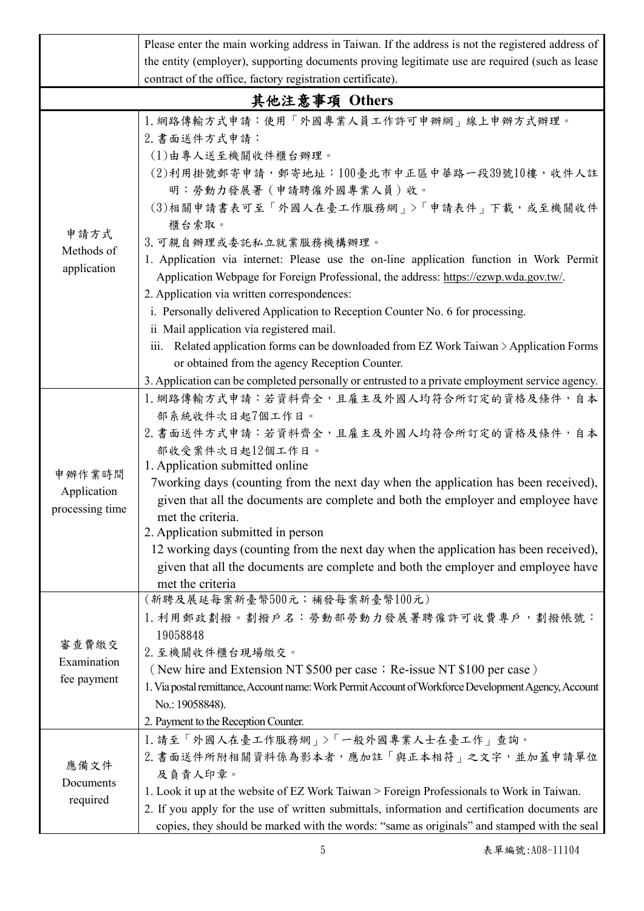|                                          | Please enter the main working address in Taiwan. If the address is not the registered address of                                                                                                                                                                                                                                                                                                                                                                                                                                                                                                                                                                                              |
|------------------------------------------|-----------------------------------------------------------------------------------------------------------------------------------------------------------------------------------------------------------------------------------------------------------------------------------------------------------------------------------------------------------------------------------------------------------------------------------------------------------------------------------------------------------------------------------------------------------------------------------------------------------------------------------------------------------------------------------------------|
|                                          | the entity (employer), supporting documents proving legitimate use are required (such as lease                                                                                                                                                                                                                                                                                                                                                                                                                                                                                                                                                                                                |
|                                          | contract of the office, factory registration certificate).                                                                                                                                                                                                                                                                                                                                                                                                                                                                                                                                                                                                                                    |
|                                          | 其他注意事項 Others                                                                                                                                                                                                                                                                                                                                                                                                                                                                                                                                                                                                                                                                                 |
| 申請方式<br>Methods of<br>application        | 1. 網路傳輸方式申請:使用「外國專業人員工作許可申辦網」線上申辦方式辦理。<br>2. 書面送件方式申請:<br>(1)由專人送至機關收件櫃台辦理。<br>(2)利用掛號郵寄申請,郵寄地址:100臺北市中正區中華路一段39號10樓,收件人註<br>明:勞動力發展署(申請聘僱外國專業人員)收。<br>(3)相關申請書表可至「外國人在臺工作服務網」>「申請表件」下載,或至機關收件<br>櫃台索取。<br>3. 可親自辦理或委託私立就業服務機構辦理。<br>1. Application via internet: Please use the on-line application function in Work Permit<br>Application Webpage for Foreign Professional, the address: https://ezwp.wda.gov.tw/.<br>2. Application via written correspondences:<br>i. Personally delivered Application to Reception Counter No. 6 for processing.<br>ii Mail application via registered mail.<br>iii. Related application forms can be downloaded from EZ Work Taiwan > Application Forms |
|                                          | or obtained from the agency Reception Counter.                                                                                                                                                                                                                                                                                                                                                                                                                                                                                                                                                                                                                                                |
|                                          | 3. Application can be completed personally or entrusted to a private employment service agency.                                                                                                                                                                                                                                                                                                                                                                                                                                                                                                                                                                                               |
| 申辦作業時間<br>Application<br>processing time | 1. 網路傳輸方式申請:若資料齊全,且雇主及外國人均符合所訂定的資格及條件,自本<br>部系統收件次日起7個工作日。<br>2. 書面送件方式申請:若資料齊全,且雇主及外國人均符合所訂定的資格及條件,自本<br>部收受案件次日起12個工作日。<br>1. Application submitted online<br>7working days (counting from the next day when the application has been received),<br>given that all the documents are complete and both the employer and employee have<br>met the criteria.<br>2. Application submitted in person<br>12 working days (counting from the next day when the application has been received),<br>given that all the documents are complete and both the employer and employee have<br>met the criteria                                                                                           |
| 審查費繳交<br>Examination<br>fee payment      | (新聘及展延每案新臺幣500元;補發每案新臺幣100元)<br>1. 利用郵政劃撥。劃撥戶名: 勞動部勞動力發展署聘僱許可收費專戶, 劃撥帳號:<br>19058848<br>2. 至機關收件櫃台現場繳交。<br>(New hire and Extension NT \$500 per case; Re-issue NT \$100 per case)<br>1. Via postal remittance, Account name: Work Permit Account of Workforce Development Agency, Account<br>No.: 19058848).<br>2. Payment to the Reception Counter.                                                                                                                                                                                                                                                                                                                                          |
| 應備文件<br>Documents<br>required            | 1. 請至「外國人在臺工作服務網」>「一般外國專業人士在臺工作」查詢。<br>2. 書面送件所附相關資料係為影本者,應加註「與正本相符」之文字,並加蓋申請單位<br>及負責人印章。<br>1. Look it up at the website of EZ Work Taiwan > Foreign Professionals to Work in Taiwan.<br>2. If you apply for the use of written submittals, information and certification documents are<br>copies, they should be marked with the words: "same as originals" and stamped with the seal                                                                                                                                                                                                                                                                                                      |